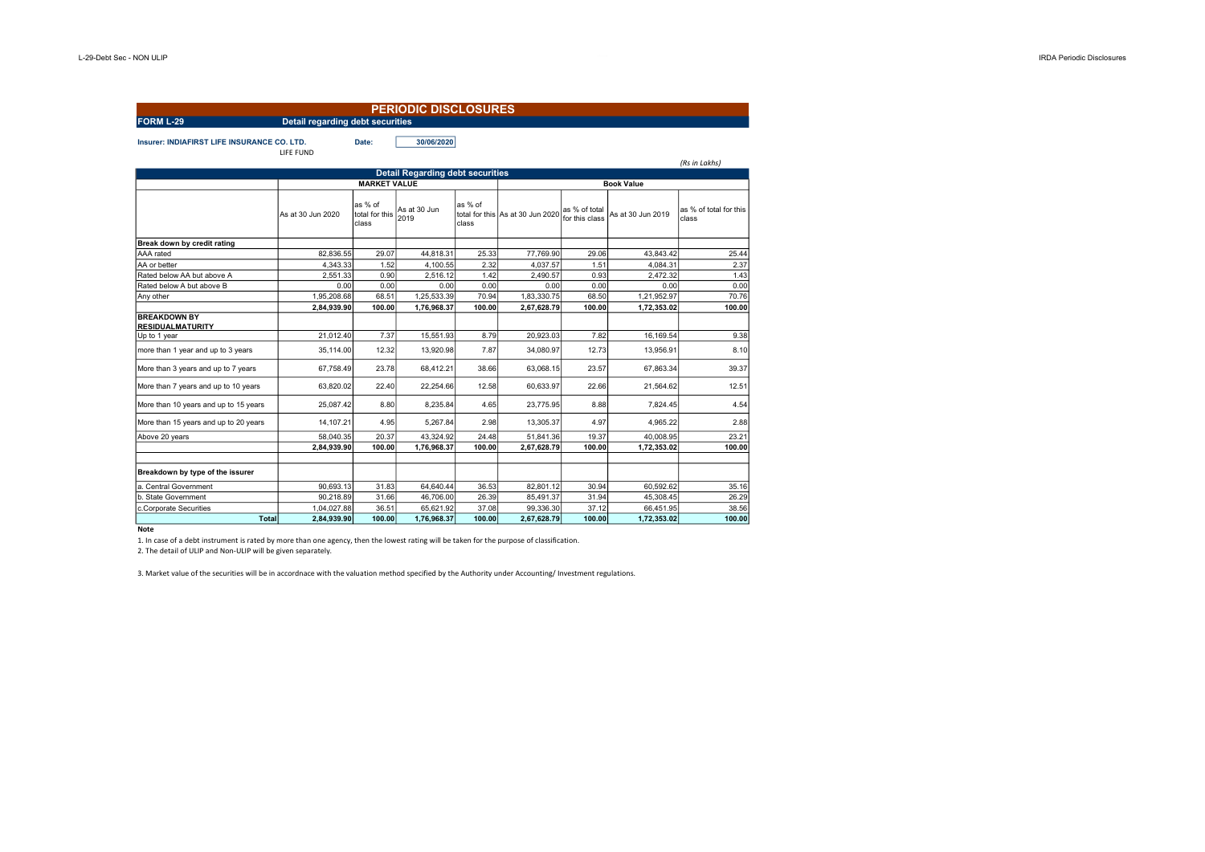|                                                    |                                         |                                    | <b>PERIODIC DISCLOSURES</b>             |                  |                                  |                                 |                   |                                 |
|----------------------------------------------------|-----------------------------------------|------------------------------------|-----------------------------------------|------------------|----------------------------------|---------------------------------|-------------------|---------------------------------|
| <b>FORM L-29</b>                                   | <b>Detail regarding debt securities</b> |                                    |                                         |                  |                                  |                                 |                   |                                 |
| <b>Insurer: INDIAFIRST LIFE INSURANCE CO. LTD.</b> | LIFE FUND                               | Date:                              | 30/06/2020                              |                  |                                  |                                 |                   | (Rs in Lakhs)                   |
|                                                    |                                         |                                    | <b>Detail Regarding debt securities</b> |                  |                                  |                                 |                   |                                 |
|                                                    |                                         | <b>MARKET VALUE</b>                |                                         |                  |                                  |                                 |                   |                                 |
|                                                    | As at 30 Jun 2020                       | as % of<br>total for this<br>class | As at 30 Jun<br>2019                    | as % of<br>class | total for this As at 30 Jun 2020 | as % of total<br>for this class | As at 30 Jun 2019 | as % of total for this<br>class |
| Break down by credit rating                        |                                         |                                    |                                         |                  |                                  |                                 |                   |                                 |
| AAA rated                                          | 82,836.55                               | 29.07                              | 44,818.31                               | 25.33            | 77,769.90                        | 29.06                           | 43,843.42         | 25.44                           |
| AA or better                                       | 4,343.33                                | 1.52                               | 4,100.55                                | 2.32             | 4,037.57                         | 1.51                            | 4,084.31          | 2.37                            |
| Rated below AA but above A                         | 2.551.33                                | 0.90                               | 2.516.12                                | 1.42             | 2.490.57                         | 0.93                            | 2.472.32          | 1.43                            |
| Rated below A but above B                          | 0.00                                    | 0.00                               | 0.00                                    | 0.00             | 0.00                             | 0.00                            | 0.00              | 0.00                            |
| Any other                                          | 1.95.208.68                             | 68.51                              | 1.25.533.39                             | 70.94            | 1.83.330.75                      | 68.50                           | 1.21.952.97       | 70.76                           |
|                                                    | 2,84,939.90                             | 100.00                             | 1,76,968.37                             | 100.00           | 2,67,628.79                      | 100.00                          | 1,72,353.02       | 100.00                          |
| <b>BREAKDOWN BY</b><br><b>RESIDUALMATURITY</b>     |                                         |                                    |                                         |                  |                                  |                                 |                   |                                 |
| Up to 1 year                                       | 21,012.40                               | 7.37                               | 15,551.93                               | 8.79             | 20,923.03                        | 7.82                            | 16,169.54         | 9.38                            |
| more than 1 year and up to 3 years                 | 35,114.00                               | 12.32                              | 13,920.98                               | 7.87             | 34,080.97                        | 12.73                           | 13,956.91         | 8.10                            |
| More than 3 years and up to 7 years                | 67.758.49                               | 23.78                              | 68,412.21                               | 38.66            | 63,068.15                        | 23.57                           | 67.863.34         | 39.37                           |
| More than 7 years and up to 10 years               | 63.820.02                               | 22.40                              | 22.254.66                               | 12.58            | 60.633.97                        | 22.66                           | 21.564.62         | 12.51                           |
| More than 10 years and up to 15 years              | 25.087.42                               | 8.80                               | 8.235.84                                | 4.65             | 23.775.95                        | 8.88                            | 7.824.45          | 4.54                            |
| More than 15 years and up to 20 years              | 14.107.21                               | 4.95                               | 5,267.84                                | 2.98             | 13,305.37                        | 4.97                            | 4.965.22          | 2.88                            |
| Above 20 years                                     | 58.040.35                               | 20.37                              | 43.324.92                               | 24.48            | 51.841.36                        | 19.37                           | 40.008.95         | 23.21                           |
|                                                    | 2.84.939.90                             | 100.00                             | 1,76,968.37                             | 100.00           | 2,67,628.79                      | 100.00                          | 1,72,353.02       | 100.00                          |
| Breakdown by type of the issurer                   |                                         |                                    |                                         |                  |                                  |                                 |                   |                                 |
| a. Central Government                              | 90,693.13                               | 31.83                              | 64,640.44                               | 36.53            | 82,801.12                        | 30.94                           | 60,592.62         | 35.16                           |
| b. State Government                                | 90,218.89                               | 31.66                              | 46,706.00                               | 26.39            | 85,491.37                        | 31.94                           | 45,308.45         | 26.29                           |
| c.Corporate Securities                             | 1,04,027.88                             | 36.51                              | 65,621.92                               | 37.08            | 99,336.30                        | 37.12                           | 66,451.95         | 38.56                           |
| Total                                              | 2.84.939.90                             | 100.00                             | 1,76,968.37                             | 100.00           | 2,67,628.79                      | 100.00                          | 1,72,353.02       | 100.00                          |

Note

1. In case of a debt instrument is rated by more than one agency, then the lowest rating will be taken for the purpose of classification.

2. The detail of ULIP and Non-ULIP will be given separately.

3. Market value of the securities will be in accordnace with the valuation method specified by the Authority under Accounting/ Investment regulations.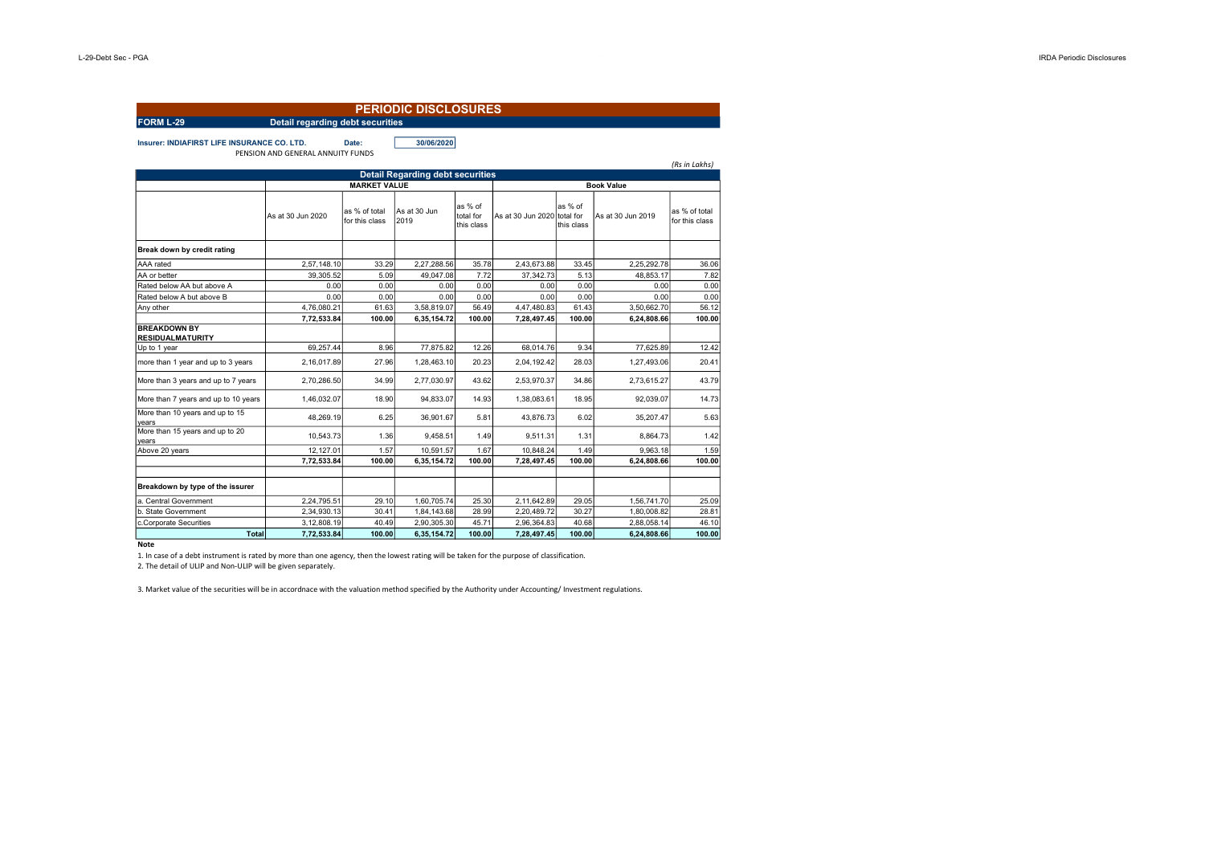|                                                    |                                   |                                 | <b>PERIODIC DISCLOSURES</b>             |                                    |                             |                       |                         |                                 |  |  |
|----------------------------------------------------|-----------------------------------|---------------------------------|-----------------------------------------|------------------------------------|-----------------------------|-----------------------|-------------------------|---------------------------------|--|--|
| <b>FORM L-29</b>                                   | Detail regarding debt securities  |                                 |                                         |                                    |                             |                       |                         |                                 |  |  |
| <b>Insurer: INDIAFIRST LIFE INSURANCE CO. LTD.</b> | PENSION AND GENERAL ANNUITY FUNDS | Date:                           | 30/06/2020                              |                                    |                             |                       |                         |                                 |  |  |
|                                                    |                                   |                                 | <b>Detail Regarding debt securities</b> |                                    |                             |                       |                         | (Rs in Lakhs)                   |  |  |
|                                                    |                                   | <b>MARKET VALUE</b>             |                                         | <b>Book Value</b>                  |                             |                       |                         |                                 |  |  |
|                                                    | As at 30 Jun 2020                 | as % of total<br>for this class | As at 30 Jun<br>2019                    | as % of<br>total for<br>this class | As at 30 Jun 2020 total for | as % of<br>this class | As at 30 Jun 2019       | as % of total<br>for this class |  |  |
| Break down by credit rating                        |                                   |                                 |                                         |                                    |                             |                       |                         |                                 |  |  |
| AAA rated                                          | 2,57,148.10                       | 33.29                           | 2,27,288.56                             | 35.78                              | 2,43,673.88                 | 33.45                 | 2,25,292.78             | 36.06                           |  |  |
| AA or better                                       | 39.305.52                         | 5.09                            | 49.047.08                               | 7.72                               | 37.342.73                   | 5.13                  | 48.853.17               | 7.82                            |  |  |
| Rated below AA but above A                         | 0.00                              | 0.00                            | 0.00                                    | 0.00                               | 0.00                        | 0.00                  | 0.00                    | 0.00                            |  |  |
| Rated below A but above B                          | 0.00                              | 0.00                            | 0.00                                    | 0.00                               | 0.00                        | 0.00                  | 0.00                    | 0.00                            |  |  |
| Any other                                          | 4,76,080.21                       | 61.63                           | 3,58,819.07                             | 56.49                              | 4,47,480.83                 | 61.43                 | 3,50,662.70             | 56.12                           |  |  |
| <b>BREAKDOWN BY</b><br><b>RESIDUALMATURITY</b>     | 7,72,533.84                       | 100.00                          | 6,35,154.72                             | 100.00                             | 7,28,497.45                 | 100.00                | 6,24,808.66             | 100.00                          |  |  |
| Up to 1 year                                       | 69,257.44                         | 8.96                            | 77,875.82                               | 12.26                              | 68,014.76                   | 9.34                  | 77,625.89               | 12.42                           |  |  |
| more than 1 year and up to 3 years                 | 2.16.017.89                       | 27.96                           | 1.28.463.10                             | 20.23                              | 2.04.192.42                 | 28.03                 | 1.27.493.06             | 20.41                           |  |  |
| More than 3 years and up to 7 years                | 2,70,286.50                       | 34.99                           | 2,77,030.97                             | 43.62                              | 2,53,970.37                 | 34.86                 | 2,73,615.27             | 43.79                           |  |  |
| More than 7 years and up to 10 years               | 1,46,032.07                       | 18.90                           | 94,833.07                               | 14.93                              | 1,38,083.61                 | 18.95                 | 92,039.07               | 14.73                           |  |  |
| More than 10 years and up to 15<br>years           | 48,269.19                         | 6.25                            | 36,901.67                               | 5.81                               | 43,876.73                   | 6.02                  | 35,207.47               | 5.63                            |  |  |
| More than 15 years and up to 20<br>vears           | 10,543.73                         | 1.36                            | 9,458.51                                | 1.49                               | 9,511.31                    | 1.31                  | 8.864.73                | 1.42                            |  |  |
| Above 20 years                                     | 12.127.01<br>7,72,533.84          | 1.57<br>100.00                  | 10.591.57<br>6,35,154.72                | 1.67<br>100.00                     | 10.848.24<br>7,28,497.45    | 1.49<br>100.00        | 9.963.18<br>6,24,808.66 | 1.59<br>100.00                  |  |  |
| Breakdown by type of the issurer                   |                                   |                                 |                                         |                                    |                             |                       |                         |                                 |  |  |
| a. Central Government                              | 2.24.795.51                       | 29.10                           | 1,60,705.74                             | 25.30                              | 2,11,642.89                 | 29.05                 | 1,56,741.70             | 25.09                           |  |  |
| b. State Government                                | 2,34,930.13                       | 30.41                           | 1,84,143.68                             | 28.99                              | 2,20,489.72                 | 30.27                 | 1,80,008.82             | 28.81                           |  |  |
| c.Corporate Securities                             | 3.12.808.19                       | 40.49                           | 2,90,305.30                             | 45.71                              | 2.96.364.83                 | 40.68                 | 2.88.058.14             | 46.10                           |  |  |
| Total                                              | 7,72,533.84                       | 100.00                          | 6,35,154.72                             | 100.00                             | 7,28,497.45                 | 100.00                | 6,24,808.66             | 100.00                          |  |  |

Note

1. In case of a debt instrument is rated by more than one agency, then the lowest rating will be taken for the purpose of classification.

2. The detail of ULIP and Non-ULIP will be given separately.

3. Market value of the securities will be in accordnace with the valuation method specified by the Authority under Accounting/ Investment regulations.